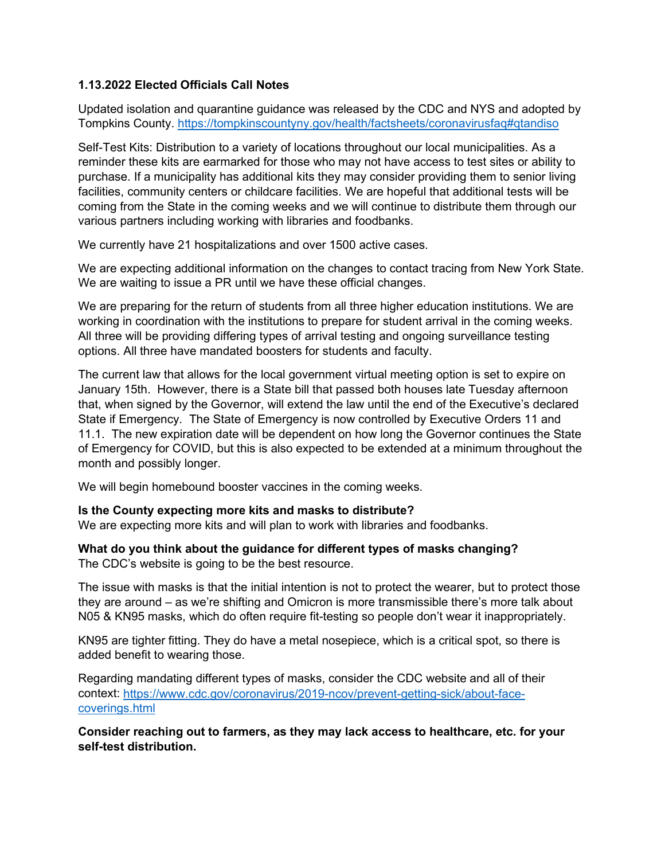# **1.13.2022 Elected Officials Call Notes**

Updated isolation and quarantine guidance was released by the CDC and NYS and adopted by Tompkins County.<https://tompkinscountyny.gov/health/factsheets/coronavirusfaq#qtandiso>

Self-Test Kits: Distribution to a variety of locations throughout our local municipalities. As a reminder these kits are earmarked for those who may not have access to test sites or ability to purchase. If a municipality has additional kits they may consider providing them to senior living facilities, community centers or childcare facilities. We are hopeful that additional tests will be coming from the State in the coming weeks and we will continue to distribute them through our various partners including working with libraries and foodbanks.

We currently have 21 hospitalizations and over 1500 active cases.

We are expecting additional information on the changes to contact tracing from New York State. We are waiting to issue a PR until we have these official changes.

We are preparing for the return of students from all three higher education institutions. We are working in coordination with the institutions to prepare for student arrival in the coming weeks. All three will be providing differing types of arrival testing and ongoing surveillance testing options. All three have mandated boosters for students and faculty.

The current law that allows for the local government virtual meeting option is set to expire on January 15th. However, there is a State bill that passed both houses late Tuesday afternoon that, when signed by the Governor, will extend the law until the end of the Executive's declared State if Emergency. The State of Emergency is now controlled by Executive Orders 11 and 11.1. The new expiration date will be dependent on how long the Governor continues the State of Emergency for COVID, but this is also expected to be extended at a minimum throughout the month and possibly longer.

We will begin homebound booster vaccines in the coming weeks.

## **Is the County expecting more kits and masks to distribute?**

We are expecting more kits and will plan to work with libraries and foodbanks.

#### **What do you think about the guidance for different types of masks changing?**  The CDC's website is going to be the best resource.

The issue with masks is that the initial intention is not to protect the wearer, but to protect those they are around – as we're shifting and Omicron is more transmissible there's more talk about N05 & KN95 masks, which do often require fit-testing so people don't wear it inappropriately.

KN95 are tighter fitting. They do have a metal nosepiece, which is a critical spot, so there is added benefit to wearing those.

Regarding mandating different types of masks, consider the CDC website and all of their context: [https://www.cdc.gov/coronavirus/2019-ncov/prevent-getting-sick/about-face](https://www.cdc.gov/coronavirus/2019-ncov/prevent-getting-sick/about-face-coverings.html)[coverings.html](https://www.cdc.gov/coronavirus/2019-ncov/prevent-getting-sick/about-face-coverings.html)

**Consider reaching out to farmers, as they may lack access to healthcare, etc. for your self-test distribution.**